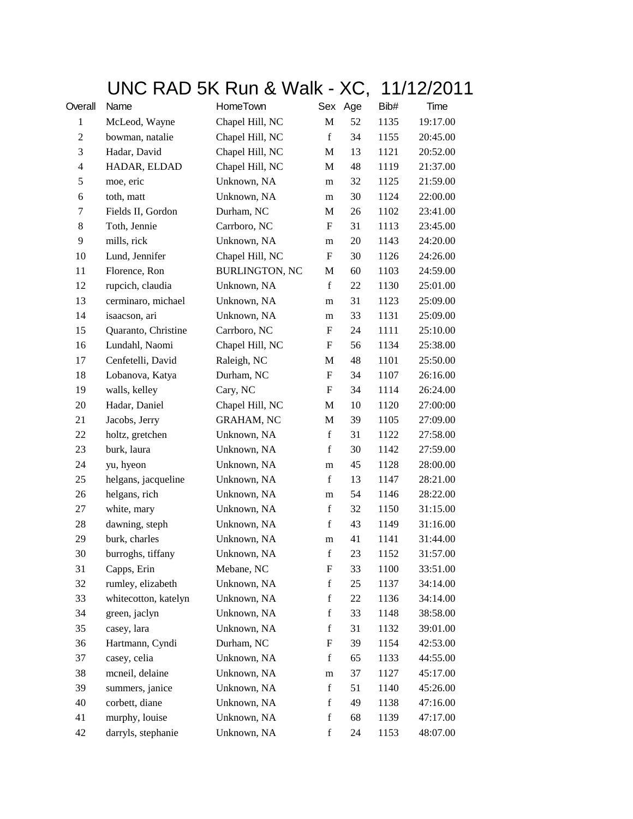## UNC RAD 5K Run & Walk - XC, 11/12/2011

| Overall          | Name                 | HomeTown              | Sex          | Age | Bib# | Time     |
|------------------|----------------------|-----------------------|--------------|-----|------|----------|
| $\mathbf{1}$     | McLeod, Wayne        | Chapel Hill, NC       | $\mathbf{M}$ | 52  | 1135 | 19:17.00 |
| $\boldsymbol{2}$ | bowman, natalie      | Chapel Hill, NC       | $\mathbf f$  | 34  | 1155 | 20:45.00 |
| 3                | Hadar, David         | Chapel Hill, NC       | M            | 13  | 1121 | 20:52.00 |
| $\overline{4}$   | HADAR, ELDAD         | Chapel Hill, NC       | M            | 48  | 1119 | 21:37.00 |
| 5                | moe, eric            | Unknown, NA           | m            | 32  | 1125 | 21:59.00 |
| 6                | toth, matt           | Unknown, NA           | m            | 30  | 1124 | 22:00.00 |
| 7                | Fields II, Gordon    | Durham, NC            | M            | 26  | 1102 | 23:41.00 |
| 8                | Toth, Jennie         | Carrboro, NC          | F            | 31  | 1113 | 23:45.00 |
| 9                | mills, rick          | Unknown, NA           | m            | 20  | 1143 | 24:20.00 |
| 10               | Lund, Jennifer       | Chapel Hill, NC       | F            | 30  | 1126 | 24:26.00 |
| 11               | Florence, Ron        | <b>BURLINGTON, NC</b> | M            | 60  | 1103 | 24:59.00 |
| 12               | rupcich, claudia     | Unknown, NA           | $\mathbf f$  | 22  | 1130 | 25:01.00 |
| 13               | cerminaro, michael   | Unknown, NA           | m            | 31  | 1123 | 25:09.00 |
| 14               | isaacson, ari        | Unknown, NA           | m            | 33  | 1131 | 25:09.00 |
| 15               | Quaranto, Christine  | Carrboro, NC          | F            | 24  | 1111 | 25:10.00 |
| 16               | Lundahl, Naomi       | Chapel Hill, NC       | F            | 56  | 1134 | 25:38.00 |
| 17               | Cenfetelli, David    | Raleigh, NC           | M            | 48  | 1101 | 25:50.00 |
| 18               | Lobanova, Katya      | Durham, NC            | F            | 34  | 1107 | 26:16.00 |
| 19               | walls, kelley        | Cary, NC              | F            | 34  | 1114 | 26:24.00 |
| 20               | Hadar, Daniel        | Chapel Hill, NC       | M            | 10  | 1120 | 27:00:00 |
| 21               | Jacobs, Jerry        | <b>GRAHAM, NC</b>     | M            | 39  | 1105 | 27:09.00 |
| 22               | holtz, gretchen      | Unknown, NA           | $\mathbf f$  | 31  | 1122 | 27:58.00 |
| 23               | burk, laura          | Unknown, NA           | $\mathbf f$  | 30  | 1142 | 27:59.00 |
| 24               | yu, hyeon            | Unknown, NA           | m            | 45  | 1128 | 28:00.00 |
| 25               | helgans, jacqueline  | Unknown, NA           | $\mathbf f$  | 13  | 1147 | 28:21.00 |
| 26               | helgans, rich        | Unknown, NA           | m            | 54  | 1146 | 28:22.00 |
| 27               | white, mary          | Unknown, NA           | $\mathbf f$  | 32  | 1150 | 31:15.00 |
| 28               | dawning, steph       | Unknown, NA           | $\mathbf f$  | 43  | 1149 | 31:16.00 |
| 29               | burk, charles        | Unknown, NA           | m            | 41  | 1141 | 31:44.00 |
| 30               | burroghs, tiffany    | Unknown, NA           | $\mathbf f$  | 23  | 1152 | 31:57.00 |
| 31               | Capps, Erin          | Mebane, NC            | F            | 33  | 1100 | 33:51.00 |
| 32               | rumley, elizabeth    | Unknown, NA           | f            | 25  | 1137 | 34:14.00 |
| 33               | whitecotton, katelyn | Unknown, NA           | $\mathbf f$  | 22  | 1136 | 34:14.00 |
| 34               | green, jaclyn        | Unknown, NA           | $\mathbf f$  | 33  | 1148 | 38:58.00 |
| 35               | casey, lara          | Unknown, NA           | $\mathbf f$  | 31  | 1132 | 39:01.00 |
| 36               | Hartmann, Cyndi      | Durham, NC            | F            | 39  | 1154 | 42:53.00 |
| 37               | casey, celia         | Unknown, NA           | f            | 65  | 1133 | 44:55.00 |
| 38               | mcneil, delaine      | Unknown, NA           | m            | 37  | 1127 | 45:17.00 |
| 39               | summers, janice      | Unknown, NA           | $\mathbf f$  | 51  | 1140 | 45:26.00 |
| 40               | corbett, diane       | Unknown, NA           | $\mathbf f$  | 49  | 1138 | 47:16.00 |
| 41               | murphy, louise       | Unknown, NA           | $\mathbf f$  | 68  | 1139 | 47:17.00 |
| 42               | darryls, stephanie   | Unknown, NA           | $\mathbf f$  | 24  | 1153 | 48:07.00 |